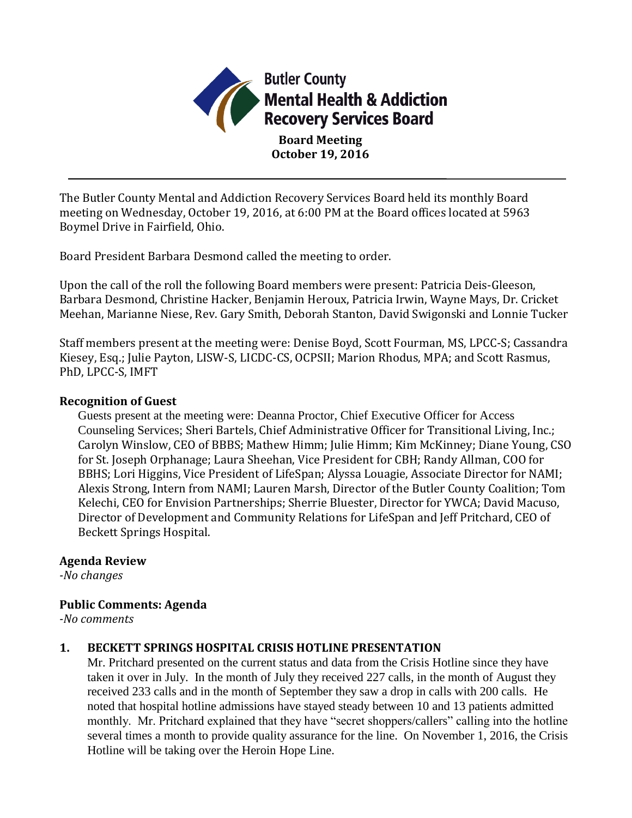

The Butler County Mental and Addiction Recovery Services Board held its monthly Board meeting on Wednesday, October 19, 2016, at 6:00 PM at the Board offices located at 5963 Boymel Drive in Fairfield, Ohio.

Board President Barbara Desmond called the meeting to order.

Upon the call of the roll the following Board members were present: Patricia Deis-Gleeson, Barbara Desmond, Christine Hacker, Benjamin Heroux, Patricia Irwin, Wayne Mays, Dr. Cricket Meehan, Marianne Niese, Rev. Gary Smith, Deborah Stanton, David Swigonski and Lonnie Tucker

Staff members present at the meeting were: Denise Boyd, Scott Fourman, MS, LPCC-S; Cassandra Kiesey, Esq.; Julie Payton, LISW-S, LICDC-CS, OCPSII; Marion Rhodus, MPA; and Scott Rasmus, PhD, LPCC-S, IMFT

### **Recognition of Guest**

Guests present at the meeting were: Deanna Proctor, Chief Executive Officer for Access Counseling Services; Sheri Bartels, Chief Administrative Officer for Transitional Living, Inc.; Carolyn Winslow, CEO of BBBS; Mathew Himm; Julie Himm; Kim McKinney; Diane Young, CSO for St. Joseph Orphanage; Laura Sheehan, Vice President for CBH; Randy Allman, COO for BBHS; Lori Higgins, Vice President of LifeSpan; Alyssa Louagie, Associate Director for NAMI; Alexis Strong, Intern from NAMI; Lauren Marsh, Director of the Butler County Coalition; Tom Kelechi, CEO for Envision Partnerships; Sherrie Bluester, Director for YWCA; David Macuso, Director of Development and Community Relations for LifeSpan and Jeff Pritchard, CEO of Beckett Springs Hospital.

### **Agenda Review**

*-No changes*

# **Public Comments: Agenda**

*-No comments*

# **1. BECKETT SPRINGS HOSPITAL CRISIS HOTLINE PRESENTATION**

Mr. Pritchard presented on the current status and data from the Crisis Hotline since they have taken it over in July. In the month of July they received 227 calls, in the month of August they received 233 calls and in the month of September they saw a drop in calls with 200 calls. He noted that hospital hotline admissions have stayed steady between 10 and 13 patients admitted monthly. Mr. Pritchard explained that they have "secret shoppers/callers" calling into the hotline several times a month to provide quality assurance for the line. On November 1, 2016, the Crisis Hotline will be taking over the Heroin Hope Line.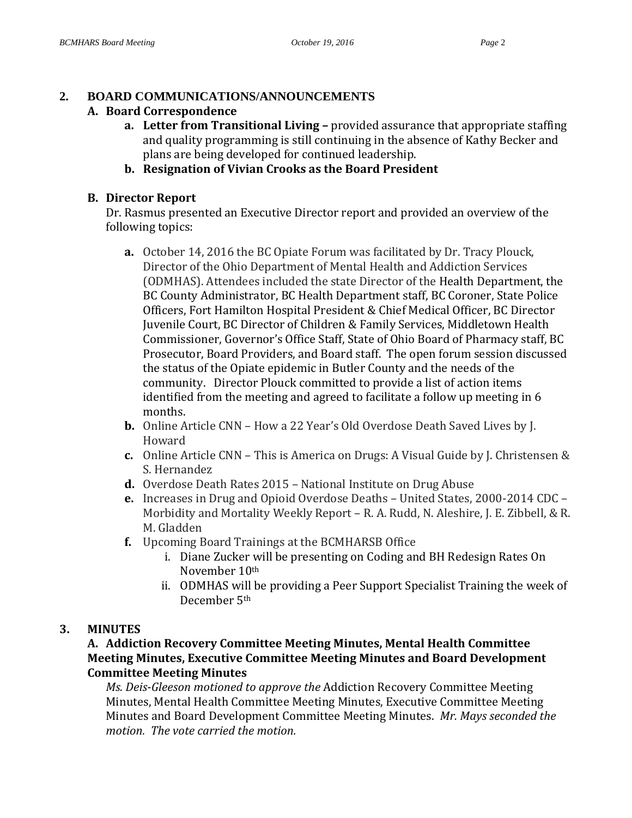# **2. BOARD COMMUNICATIONS/ANNOUNCEMENTS**

## **A. Board Correspondence**

- **a. Letter from Transitional Living –** provided assurance that appropriate staffing and quality programming is still continuing in the absence of Kathy Becker and plans are being developed for continued leadership.
- **b. Resignation of Vivian Crooks as the Board President**

# **B. Director Report**

Dr. Rasmus presented an Executive Director report and provided an overview of the following topics:

- **a.** October 14, 2016 the BC Opiate Forum was facilitated by Dr. Tracy Plouck, Director of the Ohio Department of Mental Health and Addiction Services (ODMHAS). Attendees included the state Director of the Health Department, the BC County Administrator, BC Health Department staff, BC Coroner, State Police Officers, Fort Hamilton Hospital President & Chief Medical Officer, BC Director Juvenile Court, BC Director of Children & Family Services, Middletown Health Commissioner, Governor's Office Staff, State of Ohio Board of Pharmacy staff, BC Prosecutor, Board Providers, and Board staff. The open forum session discussed the status of the Opiate epidemic in Butler County and the needs of the community. Director Plouck committed to provide a list of action items identified from the meeting and agreed to facilitate a follow up meeting in 6 months.
- **b.** Online Article CNN How a 22 Year's Old Overdose Death Saved Lives by J. Howard
- **c.** Online Article CNN This is America on Drugs: A Visual Guide by J. Christensen & S. Hernandez
- **d.** Overdose Death Rates 2015 National Institute on Drug Abuse
- **e.** Increases in Drug and Opioid Overdose Deaths United States, 2000-2014 CDC Morbidity and Mortality Weekly Report – R. A. Rudd, N. Aleshire, J. E. Zibbell, & R. M. Gladden
- **f.** Upcoming Board Trainings at the BCMHARSB Office
	- i. Diane Zucker will be presenting on Coding and BH Redesign Rates On November 10th
	- ii. ODMHAS will be providing a Peer Support Specialist Training the week of December 5th

# **3. MINUTES**

# **A. Addiction Recovery Committee Meeting Minutes, Mental Health Committee Meeting Minutes, Executive Committee Meeting Minutes and Board Development Committee Meeting Minutes**

*Ms. Deis-Gleeson motioned to approve the* Addiction Recovery Committee Meeting Minutes, Mental Health Committee Meeting Minutes, Executive Committee Meeting Minutes and Board Development Committee Meeting Minutes.*Mr. Mays seconded the motion. The vote carried the motion.*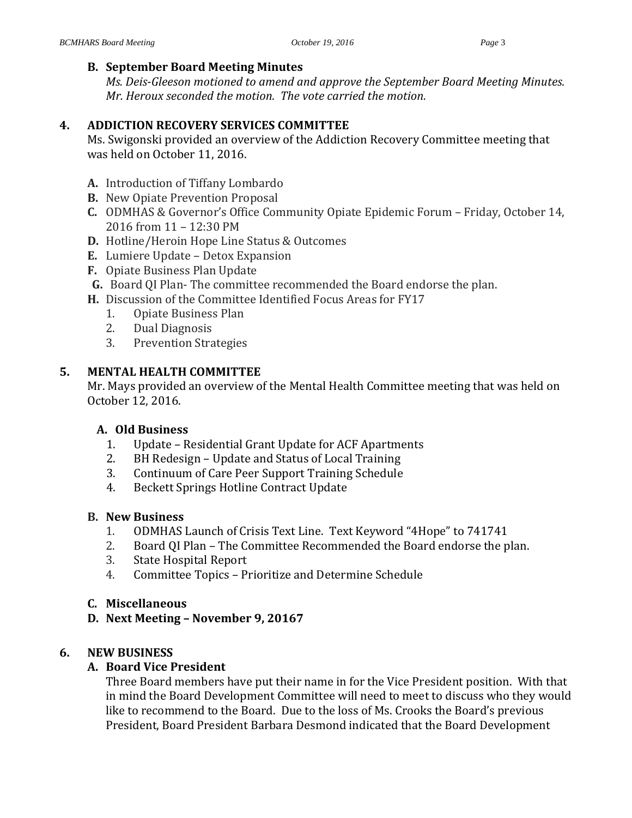## **B. September Board Meeting Minutes**

*Ms. Deis-Gleeson motioned to amend and approve the September Board Meeting Minutes. Mr. Heroux seconded the motion. The vote carried the motion.*

# **4. ADDICTION RECOVERY SERVICES COMMITTEE**

Ms. Swigonski provided an overview of the Addiction Recovery Committee meeting that was held on October 11, 2016.

- **A.** Introduction of Tiffany Lombardo
- **B.** New Opiate Prevention Proposal
- **C.** ODMHAS & Governor's Office Community Opiate Epidemic Forum Friday, October 14, 2016 from 11 – 12:30 PM
- **D.** Hotline/Heroin Hope Line Status & Outcomes
- **E.** Lumiere Update Detox Expansion
- **F.** Opiate Business Plan Update
- **G.** Board QI Plan- The committee recommended the Board endorse the plan.
- **H.** Discussion of the Committee Identified Focus Areas for FY17
	- 1. Opiate Business Plan
	- 2. Dual Diagnosis
	- 3. Prevention Strategies

# **5. MENTAL HEALTH COMMITTEE**

Mr. Mays provided an overview of the Mental Health Committee meeting that was held on October 12, 2016.

### **A. Old Business**

- 1. Update Residential Grant Update for ACF Apartments
- 2. BH Redesign Update and Status of Local Training
- 3. Continuum of Care Peer Support Training Schedule
- 4. Beckett Springs Hotline Contract Update

### **B. New Business**

- 1. ODMHAS Launch of Crisis Text Line. Text Keyword "4Hope" to 741741
- 2. Board QI Plan The Committee Recommended the Board endorse the plan.
- 3. State Hospital Report
- 4. Committee Topics Prioritize and Determine Schedule

### **C. Miscellaneous**

**D. Next Meeting – November 9, 20167**

### **6. NEW BUSINESS**

# **A. Board Vice President**

Three Board members have put their name in for the Vice President position. With that in mind the Board Development Committee will need to meet to discuss who they would like to recommend to the Board. Due to the loss of Ms. Crooks the Board's previous President, Board President Barbara Desmond indicated that the Board Development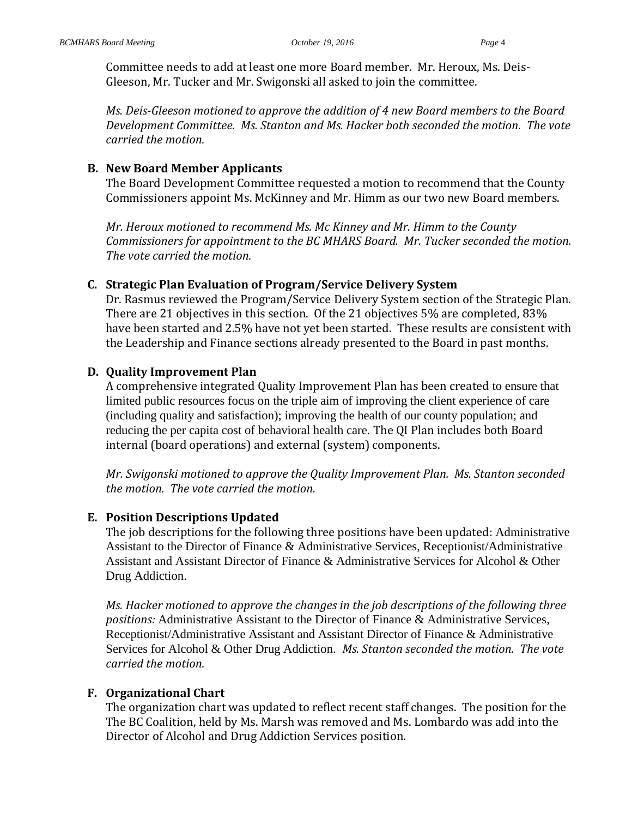Committee needs to add at least one more Board member. Mr. Heroux, Ms. Deis-Gleeson, Mr. Tucker and Mr. Swigonski all asked to join the committee.

*Ms. Deis-Gleeson motioned to approve the addition of 4 new Board members to the Board Development Committee. Ms. Stanton and Ms. Hacker both seconded the motion. The vote carried the motion.*

### **B. New Board Member Applicants**

The Board Development Committee requested a motion to recommend that the County Commissioners appoint Ms. McKinney and Mr. Himm as our two new Board members.

*Mr. Heroux motioned to recommend Ms. Mc Kinney and Mr. Himm to the County Commissioners for appointment to the BC MHARS Board. Mr. Tucker seconded the motion. The vote carried the motion.*

### **C. Strategic Plan Evaluation of Program/Service Delivery System**

Dr. Rasmus reviewed the Program/Service Delivery System section of the Strategic Plan. There are 21 objectives in this section. Of the 21 objectives 5% are completed, 83% have been started and 2.5% have not yet been started. These results are consistent with the Leadership and Finance sections already presented to the Board in past months.

### **D. Quality Improvement Plan**

A comprehensive integrated Quality Improvement Plan has been created to ensure that limited public resources focus on the triple aim of improving the client experience of care (including quality and satisfaction); improving the health of our county population; and reducing the per capita cost of behavioral health care. The QI Plan includes both Board internal (board operations) and external (system) components.

*Mr. Swigonski motioned to approve the Quality Improvement Plan. Ms. Stanton seconded the motion. The vote carried the motion.*

### **E. Position Descriptions Updated**

The job descriptions for the following three positions have been updated: Administrative Assistant to the Director of Finance & Administrative Services, Receptionist/Administrative Assistant and Assistant Director of Finance & Administrative Services for Alcohol & Other Drug Addiction.

*Ms. Hacker motioned to approve the changes in the job descriptions of the following three positions:* Administrative Assistant to the Director of Finance & Administrative Services, Receptionist/Administrative Assistant and Assistant Director of Finance & Administrative Services for Alcohol & Other Drug Addiction. *Ms. Stanton seconded the motion. The vote carried the motion.*

### **F. Organizational Chart**

The organization chart was updated to reflect recent staff changes. The position for the The BC Coalition, held by Ms. Marsh was removed and Ms. Lombardo was add into the Director of Alcohol and Drug Addiction Services position.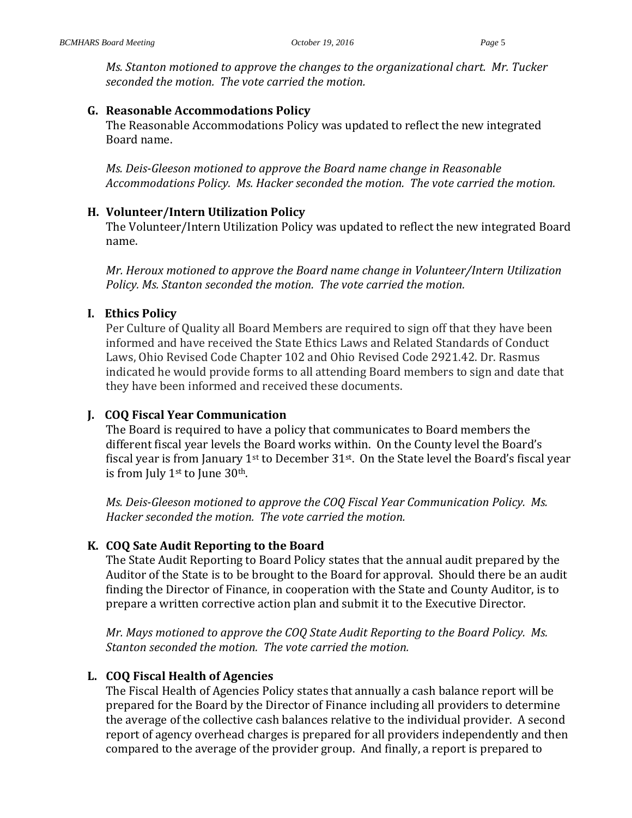*Ms. Stanton motioned to approve the changes to the organizational chart. Mr. Tucker seconded the motion. The vote carried the motion.*

### **G. Reasonable Accommodations Policy**

The Reasonable Accommodations Policy was updated to reflect the new integrated Board name.

*Ms. Deis-Gleeson motioned to approve the Board name change in Reasonable Accommodations Policy. Ms. Hacker seconded the motion. The vote carried the motion.*

#### **H. Volunteer/Intern Utilization Policy**

The Volunteer/Intern Utilization Policy was updated to reflect the new integrated Board name.

*Mr. Heroux motioned to approve the Board name change in Volunteer/Intern Utilization Policy. Ms. Stanton seconded the motion. The vote carried the motion.*

#### **I. Ethics Policy**

Per Culture of Quality all Board Members are required to sign off that they have been informed and have received the State Ethics Laws and Related Standards of Conduct Laws, Ohio Revised Code Chapter 102 and Ohio Revised Code 2921.42. Dr. Rasmus indicated he would provide forms to all attending Board members to sign and date that they have been informed and received these documents.

#### **J. COQ Fiscal Year Communication**

The Board is required to have a policy that communicates to Board members the different fiscal year levels the Board works within. On the County level the Board's fiscal year is from January  $1<sup>st</sup>$  to December 31 $<sup>st</sup>$ . On the State level the Board's fiscal year</sup> is from July 1st to June 30th.

*Ms. Deis-Gleeson motioned to approve the COQ Fiscal Year Communication Policy. Ms. Hacker seconded the motion. The vote carried the motion.*

#### **K. COQ Sate Audit Reporting to the Board**

The State Audit Reporting to Board Policy states that the annual audit prepared by the Auditor of the State is to be brought to the Board for approval. Should there be an audit finding the Director of Finance, in cooperation with the State and County Auditor, is to prepare a written corrective action plan and submit it to the Executive Director.

*Mr. Mays motioned to approve the COQ State Audit Reporting to the Board Policy. Ms. Stanton seconded the motion. The vote carried the motion.*

#### **L. COQ Fiscal Health of Agencies**

The Fiscal Health of Agencies Policy states that annually a cash balance report will be prepared for the Board by the Director of Finance including all providers to determine the average of the collective cash balances relative to the individual provider. A second report of agency overhead charges is prepared for all providers independently and then compared to the average of the provider group. And finally, a report is prepared to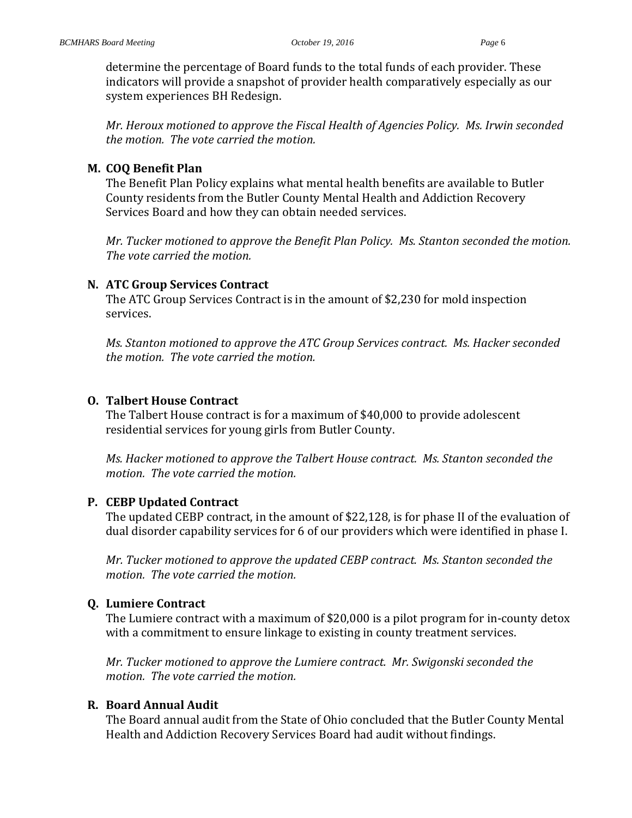determine the percentage of Board funds to the total funds of each provider. These indicators will provide a snapshot of provider health comparatively especially as our system experiences BH Redesign.

*Mr. Heroux motioned to approve the Fiscal Health of Agencies Policy. Ms. Irwin seconded the motion. The vote carried the motion.*

### **M. COQ Benefit Plan**

The Benefit Plan Policy explains what mental health benefits are available to Butler County residents from the Butler County Mental Health and Addiction Recovery Services Board and how they can obtain needed services.

*Mr. Tucker motioned to approve the Benefit Plan Policy. Ms. Stanton seconded the motion. The vote carried the motion.*

### **N. ATC Group Services Contract**

The ATC Group Services Contract is in the amount of \$2,230 for mold inspection services.

*Ms. Stanton motioned to approve the ATC Group Services contract. Ms. Hacker seconded the motion. The vote carried the motion.* 

### **O. Talbert House Contract**

The Talbert House contract is for a maximum of \$40,000 to provide adolescent residential services for young girls from Butler County.

*Ms. Hacker motioned to approve the Talbert House contract. Ms. Stanton seconded the motion. The vote carried the motion.* 

### **P. CEBP Updated Contract**

The updated CEBP contract, in the amount of \$22,128, is for phase II of the evaluation of dual disorder capability services for 6 of our providers which were identified in phase I.

*Mr. Tucker motioned to approve the updated CEBP contract. Ms. Stanton seconded the motion. The vote carried the motion.* 

### **Q. Lumiere Contract**

The Lumiere contract with a maximum of \$20,000 is a pilot program for in-county detox with a commitment to ensure linkage to existing in county treatment services.

*Mr. Tucker motioned to approve the Lumiere contract. Mr. Swigonski seconded the motion. The vote carried the motion.* 

### **R. Board Annual Audit**

The Board annual audit from the State of Ohio concluded that the Butler County Mental Health and Addiction Recovery Services Board had audit without findings.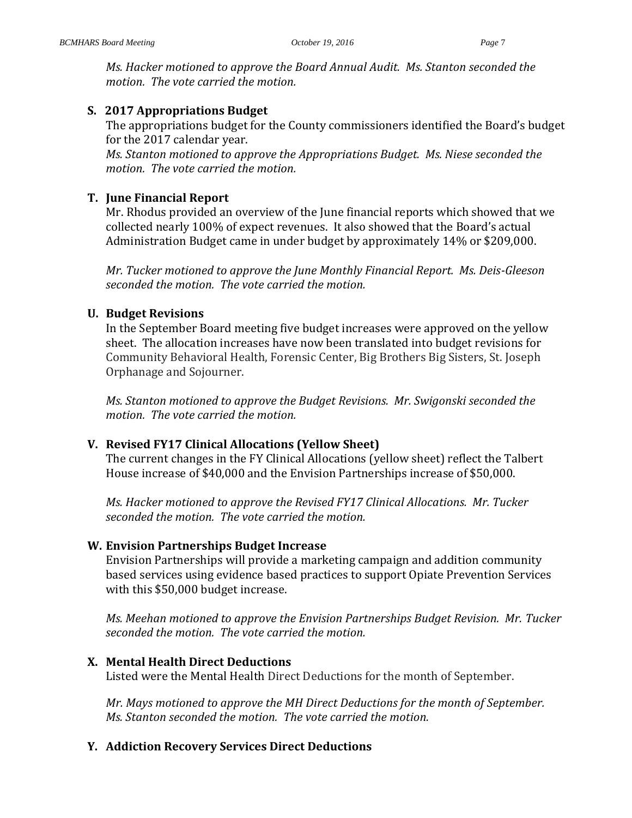*Ms. Hacker motioned to approve the Board Annual Audit. Ms. Stanton seconded the motion. The vote carried the motion.* 

## **S. 2017 Appropriations Budget**

The appropriations budget for the County commissioners identified the Board's budget for the 2017 calendar year.

*Ms. Stanton motioned to approve the Appropriations Budget. Ms. Niese seconded the motion. The vote carried the motion.* 

## **T. June Financial Report**

Mr. Rhodus provided an overview of the June financial reports which showed that we collected nearly 100% of expect revenues. It also showed that the Board's actual Administration Budget came in under budget by approximately 14% or \$209,000.

*Mr. Tucker motioned to approve the June Monthly Financial Report. Ms. Deis-Gleeson seconded the motion. The vote carried the motion.*

### **U. Budget Revisions**

In the September Board meeting five budget increases were approved on the yellow sheet. The allocation increases have now been translated into budget revisions for Community Behavioral Health, Forensic Center, Big Brothers Big Sisters, St. Joseph Orphanage and Sojourner.

*Ms. Stanton motioned to approve the Budget Revisions. Mr. Swigonski seconded the motion. The vote carried the motion.*

### **V. Revised FY17 Clinical Allocations (Yellow Sheet)**

The current changes in the FY Clinical Allocations (yellow sheet) reflect the Talbert House increase of \$40,000 and the Envision Partnerships increase of \$50,000.

*Ms. Hacker motioned to approve the Revised FY17 Clinical Allocations. Mr. Tucker seconded the motion. The vote carried the motion.*

### **W. Envision Partnerships Budget Increase**

Envision Partnerships will provide a marketing campaign and addition community based services using evidence based practices to support Opiate Prevention Services with this \$50,000 budget increase.

*Ms. Meehan motioned to approve the Envision Partnerships Budget Revision. Mr. Tucker seconded the motion. The vote carried the motion.*

# **X. Mental Health Direct Deductions**

Listed were the Mental Health Direct Deductions for the month of September.

*Mr. Mays motioned to approve the MH Direct Deductions for the month of September. Ms. Stanton seconded the motion. The vote carried the motion.*

### **Y. Addiction Recovery Services Direct Deductions**